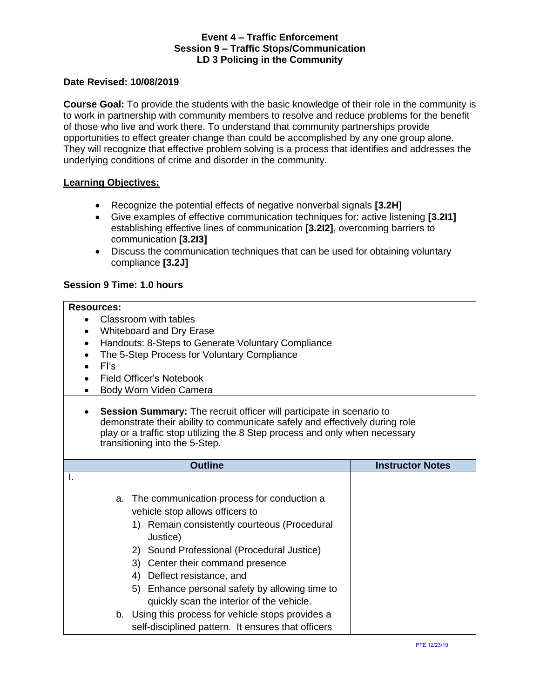#### **Date Revised: 10/08/2019**

**Course Goal:** To provide the students with the basic knowledge of their role in the community is to work in partnership with community members to resolve and reduce problems for the benefit of those who live and work there. To understand that community partnerships provide opportunities to effect greater change than could be accomplished by any one group alone. They will recognize that effective problem solving is a process that identifies and addresses the underlying conditions of crime and disorder in the community.

#### **Learning Objectives:**

- Recognize the potential effects of negative nonverbal signals **[3.2H]**
- Give examples of effective communication techniques for: active listening **[3.2I1]** establishing effective lines of communication **[3.2I2]**, overcoming barriers to communication **[3.2I3]**
- Discuss the communication techniques that can be used for obtaining voluntary compliance **[3.2J]**

## **Session 9 Time: 1.0 hours**

## **Resources:**

- Classroom with tables
- Whiteboard and Dry Erase
- Handouts: 8-Steps to Generate Voluntary Compliance
- The 5-Step Process for Voluntary Compliance
- FI's
- Field Officer's Notebook
- Body Worn Video Camera
- **Session Summary:** The recruit officer will participate in scenario to demonstrate their ability to communicate safely and effectively during role play or a traffic stop utilizing the 8 Step process and only when necessary transitioning into the 5-Step.

| <b>Outline</b>                                                                                 | <b>Instructor Notes</b> |
|------------------------------------------------------------------------------------------------|-------------------------|
|                                                                                                |                         |
| a. The communication process for conduction a                                                  |                         |
| vehicle stop allows officers to                                                                |                         |
| Remain consistently courteous (Procedural<br>Justice)                                          |                         |
| Sound Professional (Procedural Justice)<br>2)                                                  |                         |
| 3) Center their command presence                                                               |                         |
| Deflect resistance, and<br>4)                                                                  |                         |
| Enhance personal safety by allowing time to<br>5)<br>quickly scan the interior of the vehicle. |                         |
| b. Using this process for vehicle stops provides a                                             |                         |
| self-disciplined pattern. It ensures that officers                                             |                         |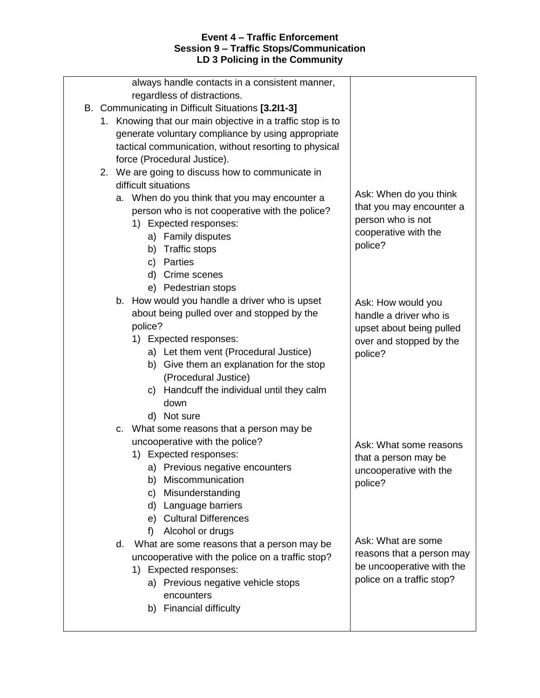| always handle contacts in a consistent manner,             |                           |
|------------------------------------------------------------|---------------------------|
| regardless of distractions.                                |                           |
| B. Communicating in Difficult Situations [3.2I1-3]         |                           |
| 1. Knowing that our main objective in a traffic stop is to |                           |
| generate voluntary compliance by using appropriate         |                           |
| tactical communication, without resorting to physical      |                           |
| force (Procedural Justice).                                |                           |
| 2. We are going to discuss how to communicate in           |                           |
| difficult situations                                       |                           |
| a. When do you think that you may encounter a              | Ask: When do you think    |
| person who is not cooperative with the police?             | that you may encounter a  |
| 1) Expected responses:                                     | person who is not         |
| a) Family disputes                                         | cooperative with the      |
| <b>Traffic stops</b><br>b)                                 | police?                   |
| Parties<br>C)                                              |                           |
| Crime scenes<br>d)                                         |                           |
| e) Pedestrian stops                                        |                           |
| b. How would you handle a driver who is upset              | Ask: How would you        |
| about being pulled over and stopped by the                 | handle a driver who is    |
| police?                                                    | upset about being pulled  |
| 1) Expected responses:                                     | over and stopped by the   |
| a) Let them vent (Procedural Justice)                      | police?                   |
| Give them an explanation for the stop<br>b)                |                           |
| (Procedural Justice)                                       |                           |
| c) Handcuff the individual until they calm                 |                           |
| down                                                       |                           |
| d) Not sure                                                |                           |
| What some reasons that a person may be<br>C.               |                           |
| uncooperative with the police?                             | Ask: What some reasons    |
| 1) Expected responses:                                     | that a person may be      |
| a) Previous negative encounters                            | uncooperative with the    |
| Miscommunication<br>b)                                     | police?                   |
| Misunderstanding<br>C)                                     |                           |
| Language barriers<br>d)                                    |                           |
| <b>Cultural Differences</b><br>e)                          |                           |
| f<br>Alcohol or drugs                                      |                           |
| What are some reasons that a person may be<br>d.           | Ask: What are some        |
| uncooperative with the police on a traffic stop?           | reasons that a person may |
| 1) Expected responses:                                     | be uncooperative with the |
| a) Previous negative vehicle stops                         | police on a traffic stop? |
| encounters                                                 |                           |
| <b>Financial difficulty</b><br>b)                          |                           |
|                                                            |                           |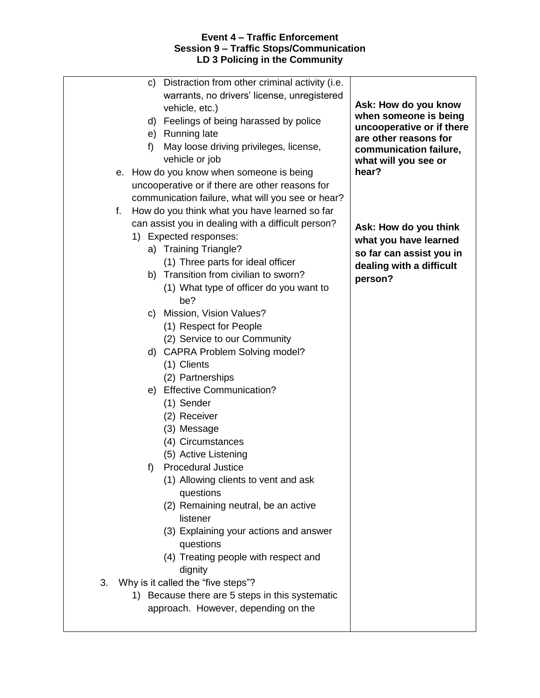| C)<br>f<br>е. | Distraction from other criminal activity (i.e.<br>warrants, no drivers' license, unregistered<br>vehicle, etc.)<br>d) Feelings of being harassed by police<br>e) Running late<br>May loose driving privileges, license,<br>vehicle or job<br>How do you know when someone is being<br>uncooperative or if there are other reasons for | Ask: How do you know<br>when someone is being<br>uncooperative or if there<br>are other reasons for<br>communication failure,<br>what will you see or<br>hear? |
|---------------|---------------------------------------------------------------------------------------------------------------------------------------------------------------------------------------------------------------------------------------------------------------------------------------------------------------------------------------|----------------------------------------------------------------------------------------------------------------------------------------------------------------|
|               | communication failure, what will you see or hear?                                                                                                                                                                                                                                                                                     |                                                                                                                                                                |
| f.            | How do you think what you have learned so far                                                                                                                                                                                                                                                                                         |                                                                                                                                                                |
|               | can assist you in dealing with a difficult person?<br>1) Expected responses:<br>a) Training Triangle?<br>(1) Three parts for ideal officer<br>b) Transition from civilian to sworn?<br>(1) What type of officer do you want to<br>be?                                                                                                 | Ask: How do you think<br>what you have learned<br>so far can assist you in<br>dealing with a difficult<br>person?                                              |
|               | c) Mission, Vision Values?                                                                                                                                                                                                                                                                                                            |                                                                                                                                                                |
|               | (1) Respect for People                                                                                                                                                                                                                                                                                                                |                                                                                                                                                                |
|               | (2) Service to our Community                                                                                                                                                                                                                                                                                                          |                                                                                                                                                                |
| d)            | <b>CAPRA Problem Solving model?</b>                                                                                                                                                                                                                                                                                                   |                                                                                                                                                                |
|               | (1) Clients                                                                                                                                                                                                                                                                                                                           |                                                                                                                                                                |
|               | (2) Partnerships                                                                                                                                                                                                                                                                                                                      |                                                                                                                                                                |
| e)            | <b>Effective Communication?</b>                                                                                                                                                                                                                                                                                                       |                                                                                                                                                                |
| f)            | (1) Sender<br>(2) Receiver<br>(3) Message<br>(4) Circumstances<br>(5) Active Listening<br><b>Procedural Justice</b><br>(1) Allowing clients to vent and ask                                                                                                                                                                           |                                                                                                                                                                |
|               | questions<br>(2) Remaining neutral, be an active<br>listener<br>(3) Explaining your actions and answer<br>questions<br>(4) Treating people with respect and                                                                                                                                                                           |                                                                                                                                                                |
|               | dignity                                                                                                                                                                                                                                                                                                                               |                                                                                                                                                                |
| 3.            | Why is it called the "five steps"?                                                                                                                                                                                                                                                                                                    |                                                                                                                                                                |
|               | 1) Because there are 5 steps in this systematic                                                                                                                                                                                                                                                                                       |                                                                                                                                                                |
|               | approach. However, depending on the                                                                                                                                                                                                                                                                                                   |                                                                                                                                                                |
|               |                                                                                                                                                                                                                                                                                                                                       |                                                                                                                                                                |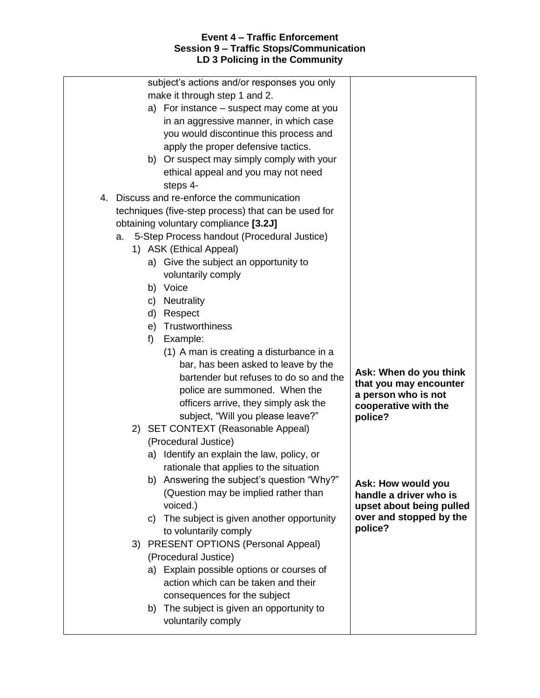| subject's actions and/or responses you only<br>make it through step 1 and 2.<br>a) For instance – suspect may come at you<br>in an aggressive manner, in which case<br>you would discontinue this process and<br>apply the proper defensive tactics.<br>b) Or suspect may simply comply with your<br>ethical appeal and you may not need<br>steps 4-<br>4. Discuss and re-enforce the communication<br>techniques (five-step process) that can be used for<br>obtaining voluntary compliance [3.2J]<br>5-Step Process handout (Procedural Justice)<br>a.<br>1) ASK (Ethical Appeal)<br>a) Give the subject an opportunity to<br>voluntarily comply<br>b) Voice<br><b>Neutrality</b><br>C)<br>d)<br>Respect<br>Trustworthiness<br>e)<br>f)<br>Example:<br>(1) A man is creating a disturbance in a<br>bar, has been asked to leave by the<br>bartender but refuses to do so and the | Ask: When do you think<br>that you may encounter                                                                                                                         |
|------------------------------------------------------------------------------------------------------------------------------------------------------------------------------------------------------------------------------------------------------------------------------------------------------------------------------------------------------------------------------------------------------------------------------------------------------------------------------------------------------------------------------------------------------------------------------------------------------------------------------------------------------------------------------------------------------------------------------------------------------------------------------------------------------------------------------------------------------------------------------------|--------------------------------------------------------------------------------------------------------------------------------------------------------------------------|
| police are summoned. When the<br>officers arrive, they simply ask the<br>subject, "Will you please leave?"<br>2) SET CONTEXT (Reasonable Appeal)<br>(Procedural Justice)<br>a) Identify an explain the law, policy, or<br>rationale that applies to the situation<br>Answering the subject's question "Why?"<br>b)<br>(Question may be implied rather than<br>voiced.)<br>The subject is given another opportunity<br>C)<br>to voluntarily comply                                                                                                                                                                                                                                                                                                                                                                                                                                  | a person who is not<br>cooperative with the<br>police?<br>Ask: How would you<br>handle a driver who is<br>upset about being pulled<br>over and stopped by the<br>police? |
| 3) PRESENT OPTIONS (Personal Appeal)<br>(Procedural Justice)<br>Explain possible options or courses of<br>a)<br>action which can be taken and their<br>consequences for the subject<br>The subject is given an opportunity to<br>b)<br>voluntarily comply                                                                                                                                                                                                                                                                                                                                                                                                                                                                                                                                                                                                                          |                                                                                                                                                                          |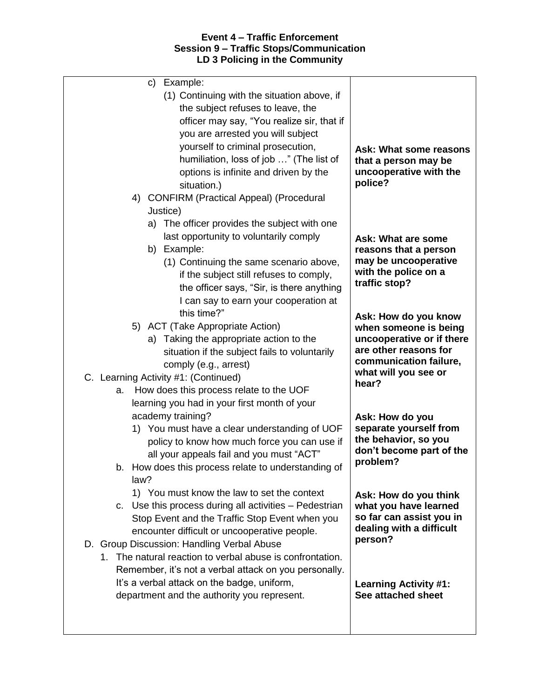| Example:<br>C)                                            |                                                    |
|-----------------------------------------------------------|----------------------------------------------------|
| (1) Continuing with the situation above, if               |                                                    |
| the subject refuses to leave, the                         |                                                    |
| officer may say, "You realize sir, that if                |                                                    |
| you are arrested you will subject                         |                                                    |
| yourself to criminal prosecution,                         | Ask: What some reasons                             |
| humiliation, loss of job " (The list of                   | that a person may be                               |
| options is infinite and driven by the                     | uncooperative with the                             |
| situation.)                                               | police?                                            |
| 4) CONFIRM (Practical Appeal) (Procedural                 |                                                    |
| Justice)                                                  |                                                    |
| a) The officer provides the subject with one              |                                                    |
| last opportunity to voluntarily comply                    | Ask: What are some                                 |
| b) Example:                                               | reasons that a person                              |
| (1) Continuing the same scenario above,                   | may be uncooperative<br>with the police on a       |
| if the subject still refuses to comply,                   | traffic stop?                                      |
| the officer says, "Sir, is there anything                 |                                                    |
| I can say to earn your cooperation at<br>this time?"      |                                                    |
| 5) ACT (Take Appropriate Action)                          | Ask: How do you know                               |
| a) Taking the appropriate action to the                   | when someone is being<br>uncooperative or if there |
| situation if the subject fails to voluntarily             | are other reasons for                              |
| comply (e.g., arrest)                                     | communication failure,                             |
| C. Learning Activity #1: (Continued)                      | what will you see or                               |
| How does this process relate to the UOF<br>a.             | hear?                                              |
| learning you had in your first month of your              |                                                    |
| academy training?                                         | Ask: How do you                                    |
| 1) You must have a clear understanding of UOF             | separate yourself from                             |
| policy to know how much force you can use if              | the behavior, so you                               |
| all your appeals fail and you must "ACT"                  | don't become part of the                           |
| b. How does this process relate to understanding of       | problem?                                           |
| law?                                                      |                                                    |
| 1) You must know the law to set the context               | Ask: How do you think                              |
| c. Use this process during all activities - Pedestrian    | what you have learned                              |
| Stop Event and the Traffic Stop Event when you            | so far can assist you in                           |
| encounter difficult or uncooperative people.              | dealing with a difficult<br>person?                |
| D. Group Discussion: Handling Verbal Abuse                |                                                    |
| 1. The natural reaction to verbal abuse is confrontation. |                                                    |
| Remember, it's not a verbal attack on you personally.     |                                                    |
| It's a verbal attack on the badge, uniform,               | <b>Learning Activity #1:</b>                       |
| department and the authority you represent.               | See attached sheet                                 |
|                                                           |                                                    |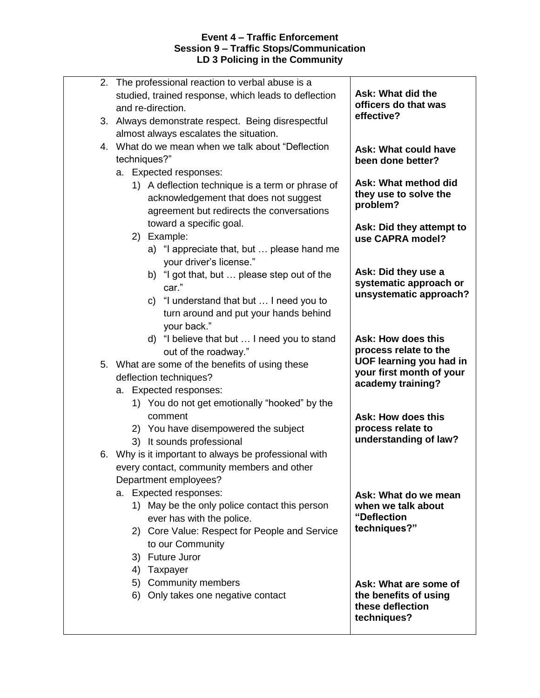| The professional reaction to verbal abuse is a<br>2.<br>studied, trained response, which leads to deflection<br>and re-direction.<br>3. Always demonstrate respect. Being disrespectful | Ask: What did the<br>officers do that was<br>effective?   |
|-----------------------------------------------------------------------------------------------------------------------------------------------------------------------------------------|-----------------------------------------------------------|
| almost always escalates the situation.                                                                                                                                                  |                                                           |
| 4. What do we mean when we talk about "Deflection<br>techniques?"                                                                                                                       | <b>Ask: What could have</b><br>been done better?          |
| a. Expected responses:                                                                                                                                                                  |                                                           |
| 1) A deflection technique is a term or phrase of<br>acknowledgement that does not suggest<br>agreement but redirects the conversations                                                  | Ask: What method did<br>they use to solve the<br>problem? |
| toward a specific goal.                                                                                                                                                                 | Ask: Did they attempt to                                  |
| 2) Example:                                                                                                                                                                             | use CAPRA model?                                          |
| a) "I appreciate that, but  please hand me<br>your driver's license."                                                                                                                   |                                                           |
| b) "I got that, but  please step out of the<br>car."                                                                                                                                    | Ask: Did they use a<br>systematic approach or             |
| c) "I understand that but  I need you to                                                                                                                                                | unsystematic approach?                                    |
| turn around and put your hands behind                                                                                                                                                   |                                                           |
| your back."                                                                                                                                                                             |                                                           |
| d) "I believe that but  I need you to stand<br>out of the roadway."                                                                                                                     | Ask: How does this<br>process relate to the               |
| 5. What are some of the benefits of using these                                                                                                                                         | <b>UOF learning you had in</b>                            |
| deflection techniques?                                                                                                                                                                  | your first month of your<br>academy training?             |
| a. Expected responses:                                                                                                                                                                  |                                                           |
| 1) You do not get emotionally "hooked" by the                                                                                                                                           |                                                           |
| comment                                                                                                                                                                                 | Ask: How does this                                        |
| 2) You have disempowered the subject                                                                                                                                                    | process relate to                                         |
| 3) It sounds professional                                                                                                                                                               | understanding of law?                                     |
| 6. Why is it important to always be professional with                                                                                                                                   |                                                           |
| every contact, community members and other                                                                                                                                              |                                                           |
| Department employees?                                                                                                                                                                   |                                                           |
| a. Expected responses:<br>1) May be the only police contact this person                                                                                                                 | Ask: What do we mean<br>when we talk about                |
| ever has with the police.                                                                                                                                                               | "Deflection                                               |
| 2) Core Value: Respect for People and Service                                                                                                                                           | techniques?"                                              |
| to our Community                                                                                                                                                                        |                                                           |
| 3) Future Juror                                                                                                                                                                         |                                                           |
| 4) Taxpayer                                                                                                                                                                             |                                                           |
| 5) Community members                                                                                                                                                                    | Ask: What are some of                                     |
| Only takes one negative contact<br>6)                                                                                                                                                   | the benefits of using<br>these deflection<br>techniques?  |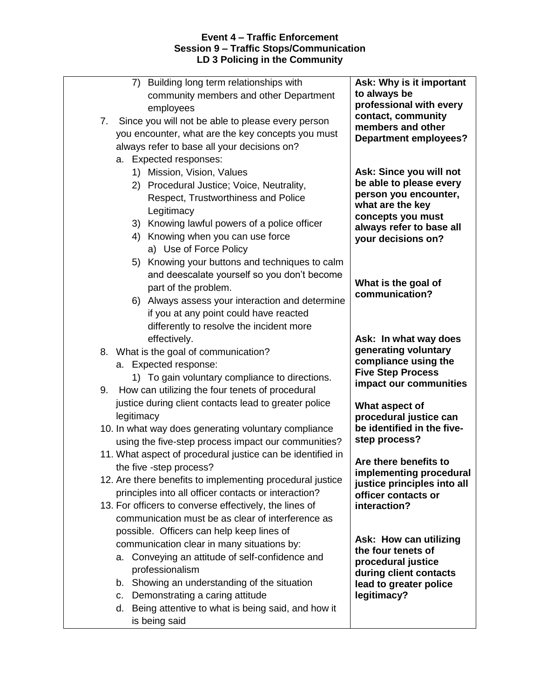| 7. | 7) Building long term relationships with<br>community members and other Department<br>employees<br>Since you will not be able to please every person<br>you encounter, what are the key concepts you must<br>always refer to base all your decisions on?<br>a. Expected responses:                                                                                                                                      | Ask: Why is it important<br>to always be<br>professional with every<br>contact, community<br>members and other<br><b>Department employees?</b>                                                                  |
|----|-------------------------------------------------------------------------------------------------------------------------------------------------------------------------------------------------------------------------------------------------------------------------------------------------------------------------------------------------------------------------------------------------------------------------|-----------------------------------------------------------------------------------------------------------------------------------------------------------------------------------------------------------------|
|    | 1) Mission, Vision, Values<br>2) Procedural Justice; Voice, Neutrality,<br>Respect, Trustworthiness and Police<br>Legitimacy<br>3) Knowing lawful powers of a police officer<br>4) Knowing when you can use force<br>a) Use of Force Policy<br>5) Knowing your buttons and techniques to calm<br>and deescalate yourself so you don't become<br>part of the problem.<br>6) Always assess your interaction and determine | Ask: Since you will not<br>be able to please every<br>person you encounter,<br>what are the key<br>concepts you must<br>always refer to base all<br>your decisions on?<br>What is the goal of<br>communication? |
|    | if you at any point could have reacted<br>differently to resolve the incident more<br>effectively.<br>8. What is the goal of communication?<br>a. Expected response:<br>1) To gain voluntary compliance to directions.                                                                                                                                                                                                  | Ask: In what way does<br>generating voluntary<br>compliance using the<br><b>Five Step Process</b><br>impact our communities                                                                                     |
| 9. | How can utilizing the four tenets of procedural<br>justice during client contacts lead to greater police<br>legitimacy<br>10. In what way does generating voluntary compliance<br>using the five-step process impact our communities?                                                                                                                                                                                   | What aspect of<br>procedural justice can<br>be identified in the five-<br>step process?                                                                                                                         |
|    | 11. What aspect of procedural justice can be identified in<br>the five -step process?<br>12. Are there benefits to implementing procedural justice<br>principles into all officer contacts or interaction?<br>13. For officers to converse effectively, the lines of<br>communication must be as clear of interference as                                                                                               | Are there benefits to<br>implementing procedural<br>justice principles into all<br>officer contacts or<br>interaction?                                                                                          |
|    | possible. Officers can help keep lines of<br>communication clear in many situations by:<br>a. Conveying an attitude of self-confidence and<br>professionalism<br>b. Showing an understanding of the situation<br>Demonstrating a caring attitude<br>C.<br>d. Being attentive to what is being said, and how it<br>is being said                                                                                         | Ask: How can utilizing<br>the four tenets of<br>procedural justice<br>during client contacts<br>lead to greater police<br>legitimacy?                                                                           |